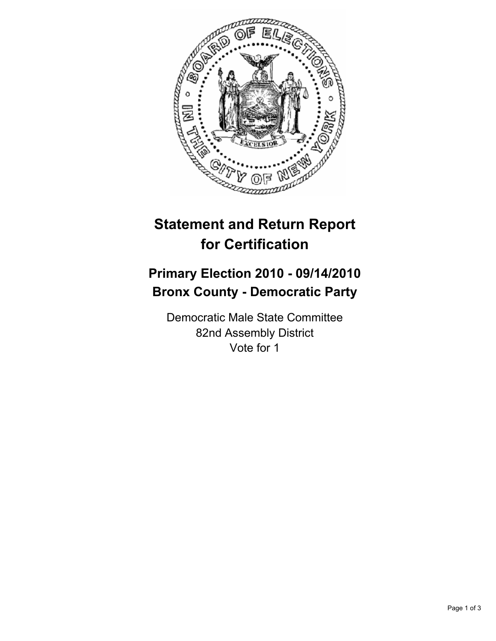

# **Statement and Return Report for Certification**

## **Primary Election 2010 - 09/14/2010 Bronx County - Democratic Party**

Democratic Male State Committee 82nd Assembly District Vote for 1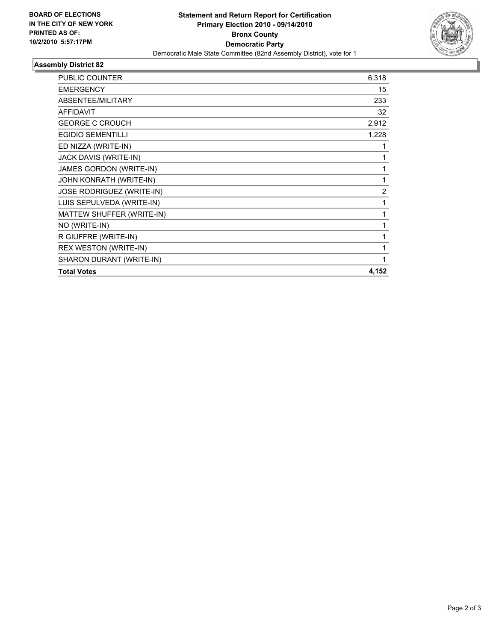

## **Assembly District 82**

| <b>PUBLIC COUNTER</b>        | 6,318          |
|------------------------------|----------------|
| <b>EMERGENCY</b>             | 15             |
| ABSENTEE/MILITARY            | 233            |
| <b>AFFIDAVIT</b>             | 32             |
| <b>GEORGE C CROUCH</b>       | 2,912          |
| <b>EGIDIO SEMENTILLI</b>     | 1,228          |
| ED NIZZA (WRITE-IN)          | 1              |
| JACK DAVIS (WRITE-IN)        | 1              |
| JAMES GORDON (WRITE-IN)      | 1              |
| JOHN KONRATH (WRITE-IN)      | 1              |
| JOSE RODRIGUEZ (WRITE-IN)    | $\overline{2}$ |
| LUIS SEPULVEDA (WRITE-IN)    | 1              |
| MATTEW SHUFFER (WRITE-IN)    | $\mathbf{1}$   |
| NO (WRITE-IN)                | 1              |
| R GIUFFRE (WRITE-IN)         | 1              |
| <b>REX WESTON (WRITE-IN)</b> | 1              |
| SHARON DURANT (WRITE-IN)     | 1              |
| <b>Total Votes</b>           | 4,152          |